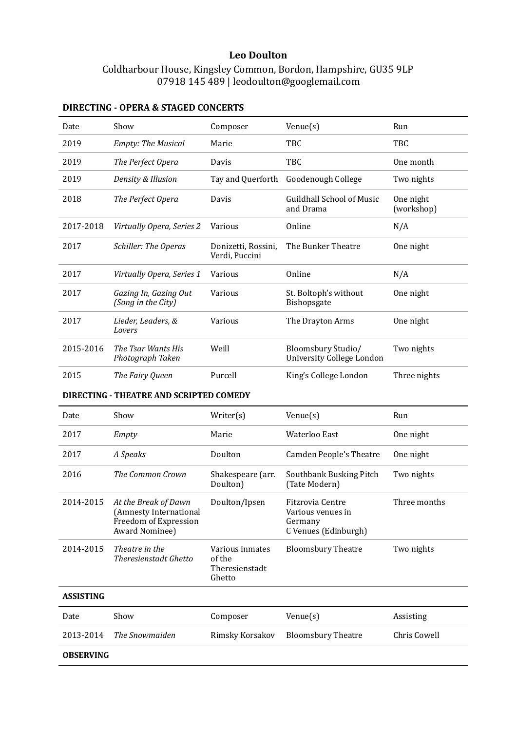## **Leo Doulton**

# Coldharbour House, Kingsley Common, Bordon, Hampshire, GU35 9LP 07918 145 489 | leodoulton@googlemail.com

### Date Show Composer Venue(s) Run 2019 *Empty: The Musical* Marie TBC TBC TBC 2019 *The Perfect Opera* Davis TBC One month 2019 *Density & Illusion* Tay and Querforth Goodenough College Two nights 2018 *The Perfect Opera* Davis Guildhall School of Music and Drama One night (workshop) 2017-2018 *Virtually Opera, Series 2* Various Online N/A 2017 *Schiller: The Operas* Donizetti, Rossini, Verdi, Puccini The Bunker Theatre One night 2017 *Virtually Opera, Series 1* Various Online N/A 2017 *Gazing In, Gazing Out (Song in the City)* Various St. Boltoph's without Bishopsgate One night 2017 *Lieder, Leaders, & Lovers* Various The Drayton Arms One night 2015-2016 *The Tsar Wants His Photograph Taken* Weill Bloomsbury Studio/ University College London Two nights 2015 *The Fairy Queen* Purcell King's College London Three nights **DIRECTING - THEATRE AND SCRIPTED COMEDY**

#### **DIRECTING - OPERA & STAGED CONCERTS**

| Date             | Show                                                                                      | Writer(s)                                             | $V$ enue $(s)$                                                           | Run          |
|------------------|-------------------------------------------------------------------------------------------|-------------------------------------------------------|--------------------------------------------------------------------------|--------------|
| 2017             | Empty                                                                                     | Marie                                                 | Waterloo East                                                            | One night    |
| 2017             | A Speaks                                                                                  | Doulton                                               | Camden People's Theatre                                                  | One night    |
| 2016             | The Common Crown                                                                          | Shakespeare (arr.<br>Doulton)                         | Southbank Busking Pitch<br>(Tate Modern)                                 | Two nights   |
| 2014-2015        | At the Break of Dawn<br>(Amnesty International<br>Freedom of Expression<br>Award Nominee) | Doulton/Ipsen                                         | Fitzrovia Centre<br>Various venues in<br>Germany<br>C Venues (Edinburgh) | Three months |
| 2014-2015        | Theatre in the<br><b>Theresienstadt Ghetto</b>                                            | Various inmates<br>of the<br>Theresienstadt<br>Ghetto | <b>Bloomsbury Theatre</b>                                                | Two nights   |
| <b>ASSISTING</b> |                                                                                           |                                                       |                                                                          |              |
| Date             | Show                                                                                      | Composer                                              | $V$ enue $(s)$                                                           | Assisting    |
| 2013-2014        | The Snowmaiden                                                                            | Rimsky Korsakov                                       | <b>Bloomsbury Theatre</b>                                                | Chris Cowell |
| <b>OBSERVING</b> |                                                                                           |                                                       |                                                                          |              |